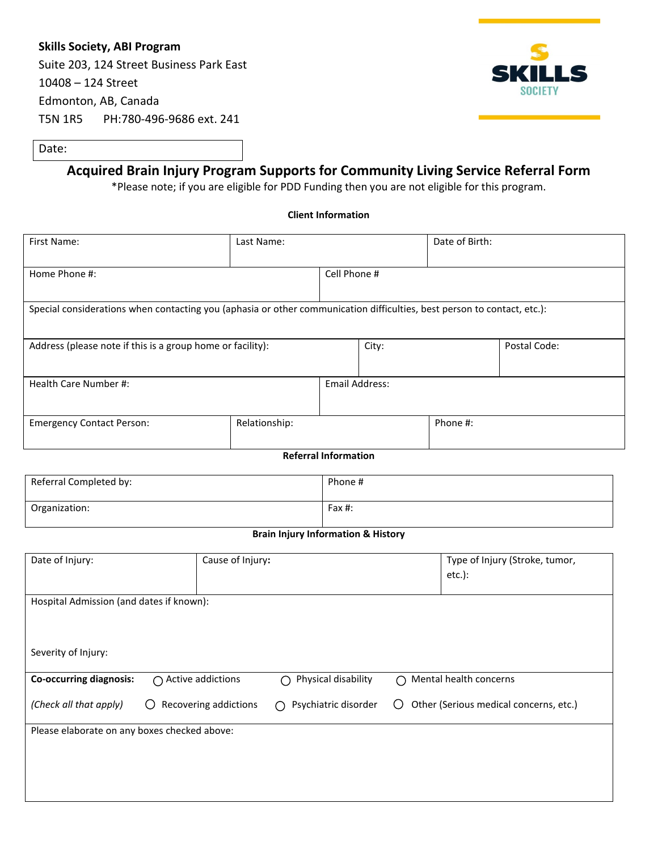## **Skills Society, ABI Program**

Suite 203, 124 Street Business Park East 10408 – 124 Street Edmonton, AB, Canada T5N 1R5 PH:780-496-9686 ext. 241



Date:

# **Acquired Brain Injury Program Supports for Community Living Service Referral Form**

\*Please note; if you are eligible for PDD Funding then you are not eligible for this program.

#### **Client Information**

| First Name:                                                                                                             | Last Name:    |                | Date of Birth: |          |              |
|-------------------------------------------------------------------------------------------------------------------------|---------------|----------------|----------------|----------|--------------|
| Home Phone #:                                                                                                           |               | Cell Phone #   |                |          |              |
| Special considerations when contacting you (aphasia or other communication difficulties, best person to contact, etc.): |               |                |                |          |              |
| Address (please note if this is a group home or facility):                                                              |               |                | City:          |          | Postal Code: |
| Health Care Number #:                                                                                                   |               | Email Address: |                |          |              |
| <b>Emergency Contact Person:</b>                                                                                        | Relationship: |                |                | Phone #: |              |
| <b>Referral Information</b>                                                                                             |               |                |                |          |              |

| Referral Completed by: | Phone # |
|------------------------|---------|
| Organization:          | Fax #:  |

#### **Brain Injury Information & History**

| Date of Injury:                              | Cause of Injury:                                |                           | Type of Injury (Stroke, tumor,<br>$etc.$ ):   |
|----------------------------------------------|-------------------------------------------------|---------------------------|-----------------------------------------------|
| Hospital Admission (and dates if known):     |                                                 |                           |                                               |
|                                              |                                                 |                           |                                               |
|                                              |                                                 |                           |                                               |
| Severity of Injury:                          |                                                 |                           |                                               |
| <b>Co-occurring diagnosis:</b>               | $\bigcap$ Active addictions                     | Physical disability       | $\bigcap$ Mental health concerns              |
|                                              |                                                 |                           |                                               |
| (Check all that apply)                       | Recovering addictions<br>$\left( \quad \right)$ | Psychiatric disorder<br>∩ | Other (Serious medical concerns, etc.)<br>( ) |
|                                              |                                                 |                           |                                               |
| Please elaborate on any boxes checked above: |                                                 |                           |                                               |
|                                              |                                                 |                           |                                               |
|                                              |                                                 |                           |                                               |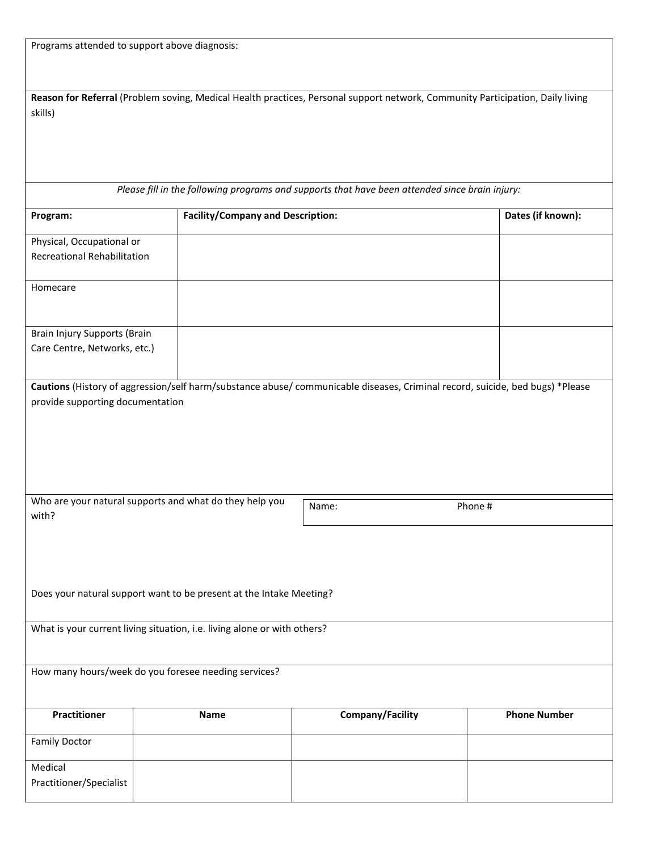| Programs attended to support above diagnosis: |  |
|-----------------------------------------------|--|
|                                               |  |

| Reason for Referral (Problem soving, Medical Health practices, Personal support network, Community Participation, Daily living |
|--------------------------------------------------------------------------------------------------------------------------------|
| skills)                                                                                                                        |
|                                                                                                                                |
|                                                                                                                                |

*Please fill in the following programs and supports that have been attended since brain injury:*

| Program:                           | <b>Facility/Company and Description:</b>                                 |                                                                                                                               | Dates (if known):   |
|------------------------------------|--------------------------------------------------------------------------|-------------------------------------------------------------------------------------------------------------------------------|---------------------|
| Physical, Occupational or          |                                                                          |                                                                                                                               |                     |
| <b>Recreational Rehabilitation</b> |                                                                          |                                                                                                                               |                     |
|                                    |                                                                          |                                                                                                                               |                     |
| Homecare                           |                                                                          |                                                                                                                               |                     |
|                                    |                                                                          |                                                                                                                               |                     |
|                                    |                                                                          |                                                                                                                               |                     |
| Brain Injury Supports (Brain       |                                                                          |                                                                                                                               |                     |
| Care Centre, Networks, etc.)       |                                                                          |                                                                                                                               |                     |
|                                    |                                                                          |                                                                                                                               |                     |
|                                    |                                                                          |                                                                                                                               |                     |
|                                    |                                                                          | Cautions (History of aggression/self harm/substance abuse/ communicable diseases, Criminal record, suicide, bed bugs) *Please |                     |
| provide supporting documentation   |                                                                          |                                                                                                                               |                     |
|                                    |                                                                          |                                                                                                                               |                     |
|                                    |                                                                          |                                                                                                                               |                     |
|                                    |                                                                          |                                                                                                                               |                     |
|                                    |                                                                          |                                                                                                                               |                     |
|                                    |                                                                          |                                                                                                                               |                     |
|                                    |                                                                          |                                                                                                                               |                     |
|                                    | Who are your natural supports and what do they help you                  | Name:                                                                                                                         | Phone #             |
| with?                              |                                                                          |                                                                                                                               |                     |
|                                    |                                                                          |                                                                                                                               |                     |
|                                    |                                                                          |                                                                                                                               |                     |
|                                    |                                                                          |                                                                                                                               |                     |
|                                    |                                                                          |                                                                                                                               |                     |
|                                    |                                                                          |                                                                                                                               |                     |
|                                    |                                                                          |                                                                                                                               |                     |
|                                    | Does your natural support want to be present at the Intake Meeting?      |                                                                                                                               |                     |
|                                    |                                                                          |                                                                                                                               |                     |
|                                    | What is your current living situation, i.e. living alone or with others? |                                                                                                                               |                     |
|                                    |                                                                          |                                                                                                                               |                     |
|                                    |                                                                          |                                                                                                                               |                     |
|                                    | How many hours/week do you foresee needing services?                     |                                                                                                                               |                     |
|                                    |                                                                          |                                                                                                                               |                     |
|                                    |                                                                          |                                                                                                                               |                     |
| <b>Practitioner</b>                | Name                                                                     | <b>Company/Facility</b>                                                                                                       | <b>Phone Number</b> |
|                                    |                                                                          |                                                                                                                               |                     |
| <b>Family Doctor</b>               |                                                                          |                                                                                                                               |                     |
|                                    |                                                                          |                                                                                                                               |                     |
| Medical<br>Practitioner/Specialist |                                                                          |                                                                                                                               |                     |